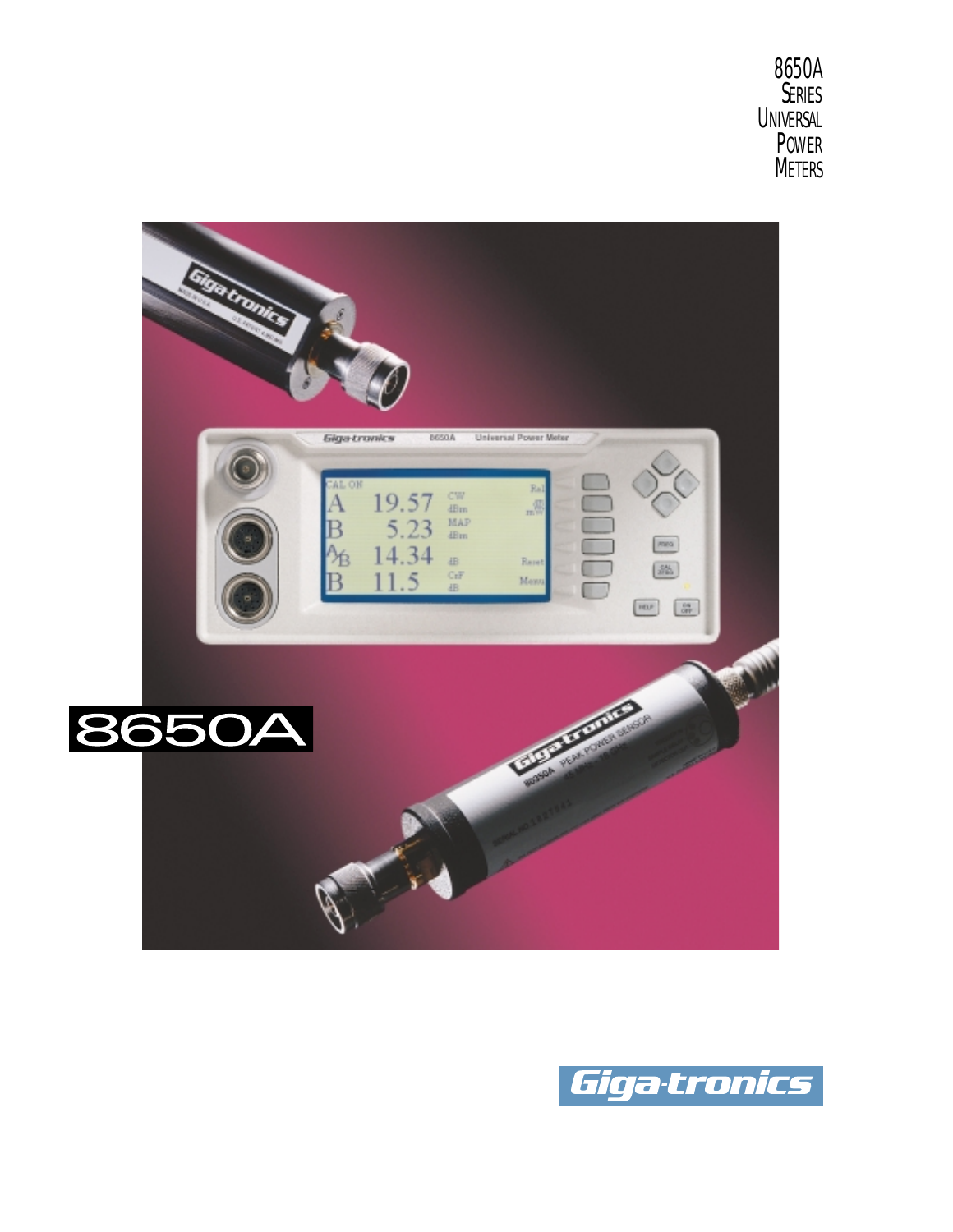8650A SERIES **UNIVERSAL** POWER METERS



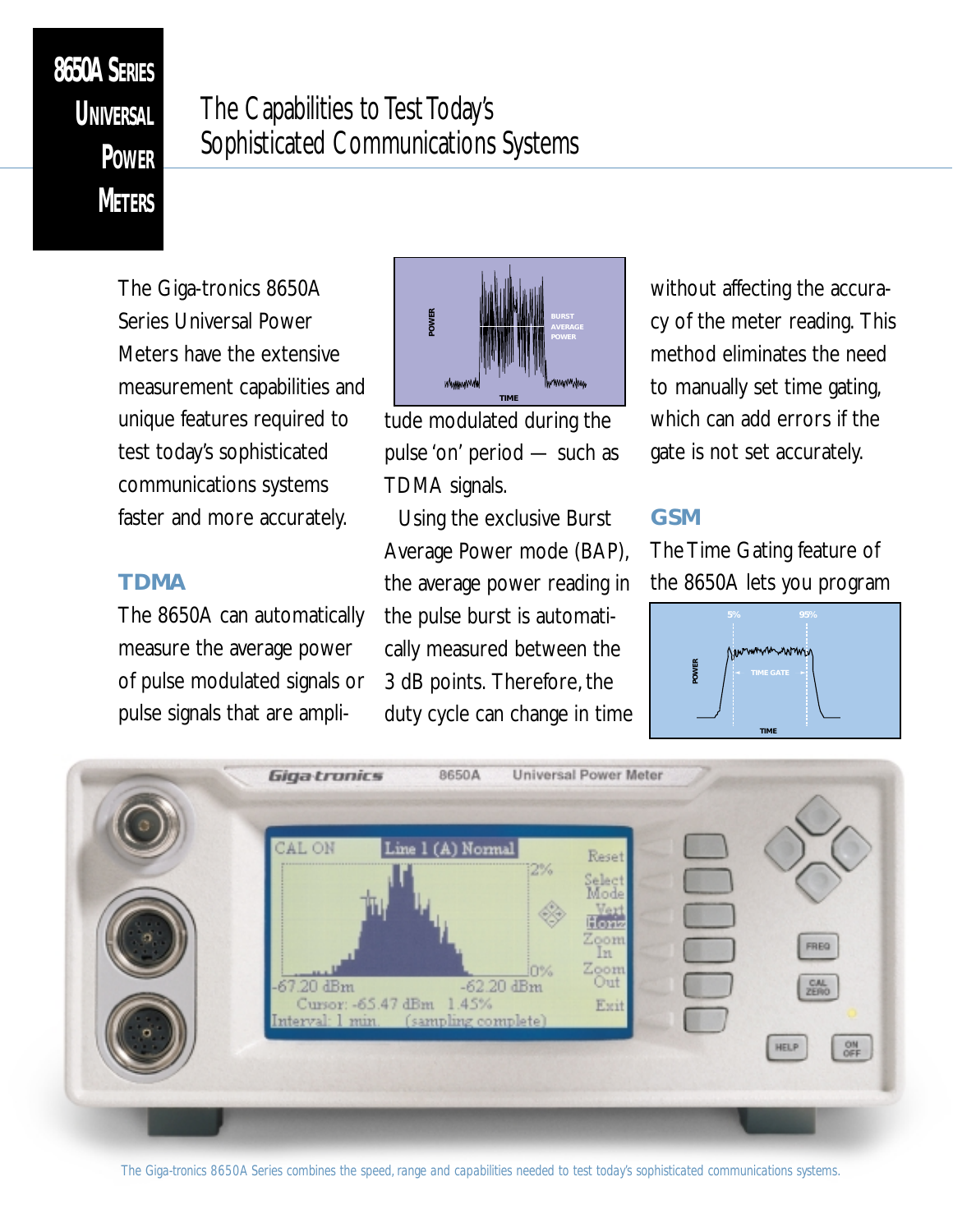# **8650A SERIES UNIVERSAL POWER METERS**

## The Capabilities to Test Today's Sophisticated Communications Systems

The Giga-tronics 8650A Series Universal Power Meters have the extensive measurement capabilities and unique features required to test today's sophisticated communications systems faster and more accurately.

### **TDMA**

The 8650A can automatically measure the average power of pulse modulated signals or pulse signals that are ampli-



tude modulated during the pulse 'on' period — such as TDMA signals.

Using the exclusive Burst Average Power mode (BAP), the average power reading in the pulse burst is automatically measured between the 3 dB points. Therefore, the duty cycle can change in time without affecting the accuracy of the meter reading. This method eliminates the need to manually set time gating, which can add errors if the gate is not set accurately.

### **GSM**

The Time Gating feature of the 8650A lets you program



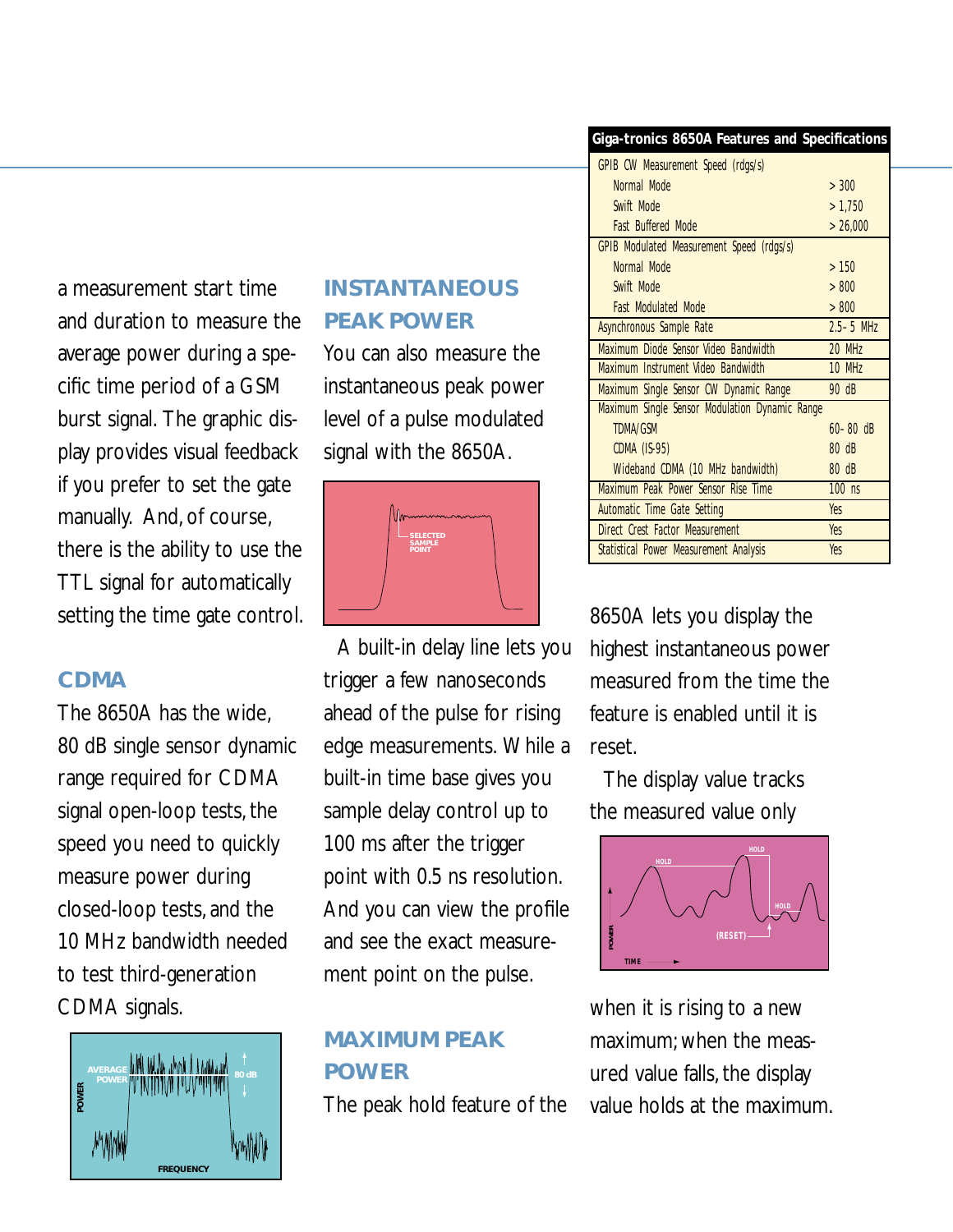a measurement start time and duration to measure the average power during a specific time period of a GSM burst signal. The graphic display provides visual feedback if you prefer to set the gate manually. And, of course, there is the ability to use the TTL signal for automatically setting the time gate control.

### **CDMA**

The 8650A has the wide, 80 dB single sensor dynamic range required for CDMA signal open-loop tests, the speed you need to quickly measure power during closed-loop tests, and the 10 MHz bandwidth needed to test third-generation CDMA signals.



### **INSTANTANEOUS PEAK POWER**

You can also measure the instantaneous peak power level of a pulse modulated signal with the 8650A.



A built-in delay line lets you trigger a few nanoseconds ahead of the pulse for rising edge measurements. While a built-in time base gives you sample delay control up to 100 ms after the trigger point with 0.5 ns resolution. And you can view the profile and see the exact measurement point on the pulse.

## **MAXIMUM PEAK POWER**

The peak hold feature of the

### **Giga-tronics 8650A Features and Specifications**

| GPIB CW Measurement Speed (rdgs/s)             |                 |
|------------------------------------------------|-----------------|
| Normal Mode                                    | >300            |
| Swift Mode                                     | >1,750          |
| <b>Fast Buffered Mode</b>                      | >26,000         |
| GPIB Modulated Measurement Speed (rdgs/s)      |                 |
| Normal Mode                                    | >150            |
| Swift Mode                                     | > 800           |
| <b>Fast Modulated Mode</b>                     | > 800           |
| <b>Asynchronous Sample Rate</b>                | $2.5 - 5$ MHz   |
| Maximum Diode Sensor Video Bandwidth           | 20 MHz          |
| Maximum Instrument Video Bandwidth             | <b>10 MHz</b>   |
| Maximum Single Sensor CW Dynamic Range         | 90 dB           |
| Maximum Single Sensor Modulation Dynamic Range |                 |
| <b>TDMA/GSM</b>                                | $60 - 80$ dB    |
| <b>CDMA (IS-95)</b>                            | $80 \text{ dB}$ |
| Wideband CDMA (10 MHz bandwidth)               | 80 dB           |
| Maximum Peak Power Sensor Rise Time            | $100$ ns        |
| Automatic Time Gate Setting                    | <b>Yes</b>      |
| Direct Crest Factor Measurement                | <b>Yes</b>      |
|                                                |                 |

8650A lets you display the highest instantaneous power measured from the time the feature is enabled until it is reset.

The display value tracks the measured value only



when it is rising to a new maximum; when the measured value falls, the display value holds at the maximum.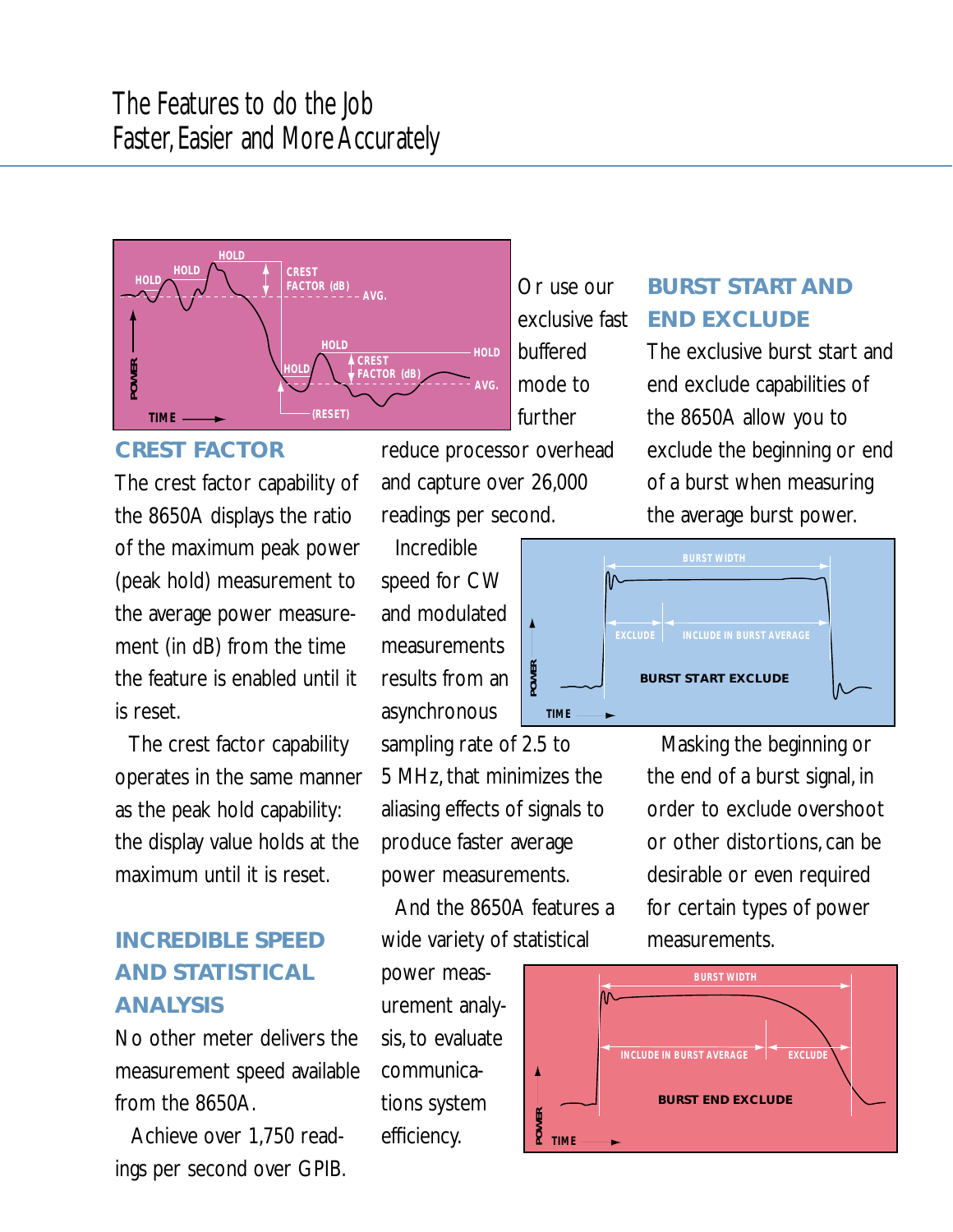

### **CREST FACTOR**

The crest factor capability of the 8650A displays the ratio of the maximum peak power (peak hold) measurement to the average power measurement (in dB) from the time the feature is enabled until it is reset.

The crest factor capability operates in the same manner as the peak hold capability: the display value holds at the maximum until it is reset.

## **INCREDIBLE SPEED AND STATISTICAL ANALYSIS**

No other meter delivers the measurement speed available from the 8650A.

Achieve over 1,750 readings per second over GPIB. exclusive fast buffered mode to further

Or use our

reduce processor overhead and capture over 26,000 readings per second.

Incredible speed for CW and modulated measurements results from an asynchronous

sampling rate of 2.5 to 5 MHz, that minimizes the aliasing effects of signals to produce faster average power measurements.

And the 8650A features a wide variety of statistical

power measurement analysis, to evaluate communications system efficiency.



**BURST START AND**

exclude the beginning or end of a burst when measuring the average burst power.



Masking the beginning or the end of a burst signal, in order to exclude overshoot or other distortions, can be desirable or even required for certain types of power measurements.

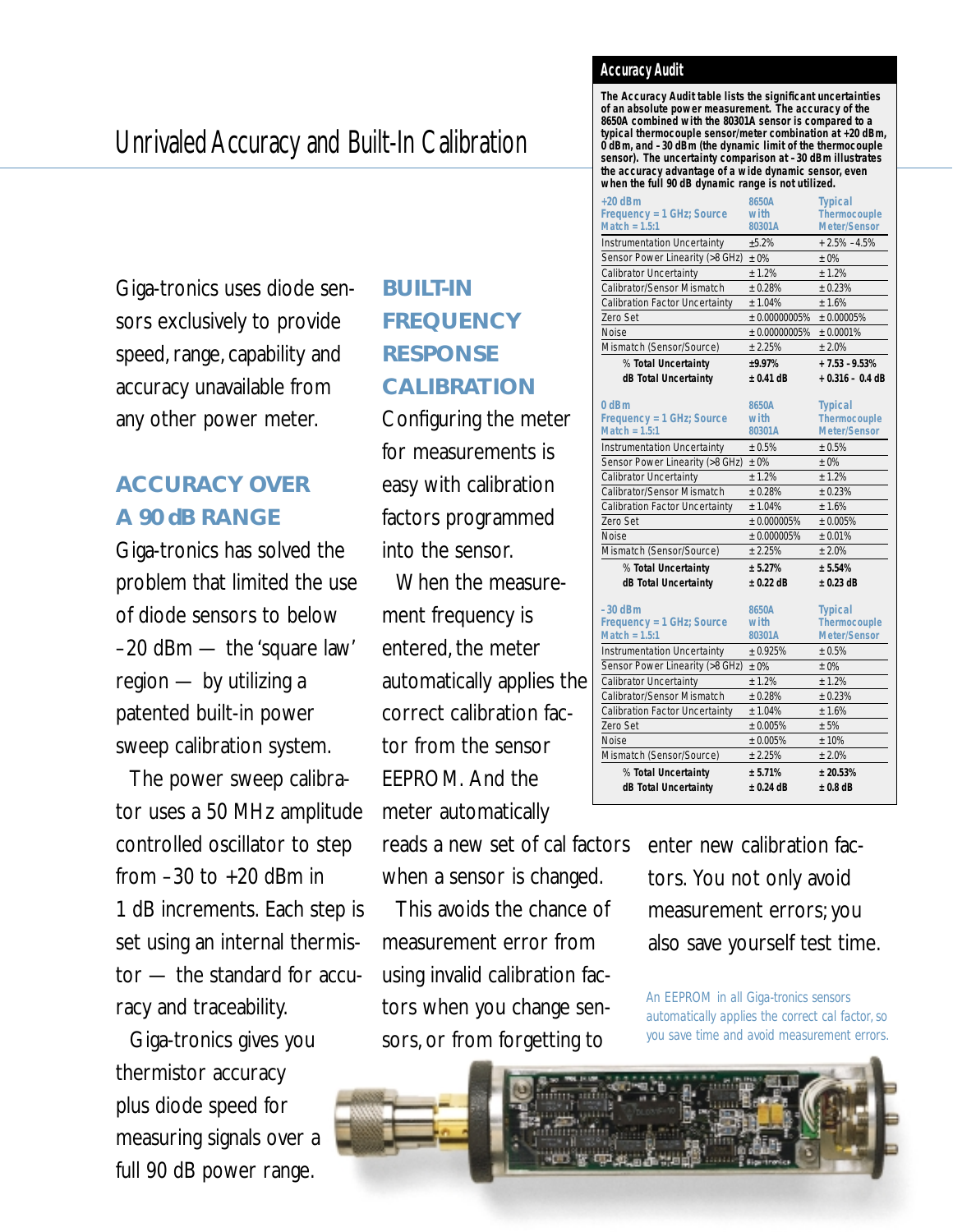## Unrivaled Accuracy and Built-In Calibration

Giga-tronics uses diode sensors exclusively to provide speed, range, capability and accuracy unavailable from any other power meter.

## **ACCURACY OVER A 90 dB RANGE**

Giga-tronics has solved the problem that limited the use of diode sensors to below –20 dBm — the 'square law' region — by utilizing a patented built-in power sweep calibration system.

The power sweep calibrator uses a 50 MHz amplitude controlled oscillator to step from  $-30$  to  $+20$  dBm in 1 dB increments. Each step is set using an internal thermistor — the standard for accuracy and traceability.

Giga-tronics gives you thermistor accuracy plus diode speed for measuring signals over a full 90 dB power range.

## **BUILT-IN FREQUENCY RESPONSE CALIBRATION**

Configuring the meter for measurements is easy with calibration factors programmed into the sensor.

When the measurement frequency is entered, the meter automatically applies the correct calibration factor from the sensor EEPROM. And the meter automatically

reads a new set of cal factors when a sensor is changed.

This avoids the chance of measurement error from using invalid calibration factors when you change sensors, or from forgetting to

### **Accuracy Audit**

**The Accuracy Audit table lists the significant uncertainties of an absolute power measurement. The accuracy of the 8650A combined with the 80301A sensor is compared to a typical thermocouple sensor/meter combination at +20 dBm, 0 dBm, and –30 dBm (the dynamic limit of the thermocouple sensor). The uncertainty comparison at –30 dBm illustrates the accuracy advantage of a wide dynamic sensor, even when the full 90 dB dynamic range is not utilized.**

| $+20$ dBm                             | 8650A         | <b>Typical</b>      |
|---------------------------------------|---------------|---------------------|
| Frequency = 1 GHz; Source             | with          | <b>Thermocouple</b> |
| Match = $1.5:1$                       | 80301A        | <b>Meter/Sensor</b> |
| <b>Instrumentation Uncertainty</b>    | $+5.2%$       | $+2.5\% -4.5\%$     |
| Sensor Power Linearity (>8 GHz)       | $±0\%$        | $+0\%$              |
| Calibrator Uncertainty                | ± 1.2%        | ± 1.2%              |
| Calibrator/Sensor Mismatch            | ± 0.28%       | ± 0.23%             |
| <b>Calibration Factor Uncertainty</b> | $+1.04%$      | $+1.6%$             |
| Zero Set                              | ± 0.00000005% | ± 0.00005%          |
| <b>Noise</b>                          | ± 0.00000005% | ± 0.0001%           |
| Mismatch (Sensor/Source)              | ± 2.25%       | ± 2.0%              |
| % Total Uncertainty                   | $+9.97%$      | $+7.53 - 9.53%$     |
| dB Total Uncertainty                  | $± 0.41$ dB   | $+0.316 - 0.4$ dB   |
|                                       |               |                     |
| $0$ d <sub>B</sub> m                  | 8650A         | <b>Typical</b>      |
| Frequency = 1 GHz; Source             | with          | Thermocouple        |
| Match = $1.5:1$                       | 80301A        | <b>Meter/Sensor</b> |
| <b>Instrumentation Uncertainty</b>    | $+0.5%$       | ± 0.5%              |
| Sensor Power Linearity (>8 GHz)       | $±0\%$        | $±0\%$              |
| Calibrator Uncertainty                | ± 1.2%        | ± 1.2%              |
| Calibrator/Sensor Mismatch            | ± 0.28%       | ± 0.23%             |
| <b>Calibration Factor Uncertainty</b> | $+1.04%$      | ± 1.6%              |
| Zero Set                              | ± 0.000005%   | ± 0.005%            |
| <b>Noise</b>                          | ± 0.000005%   | $+0.01%$            |
| Mismatch (Sensor/Source)              | $+2.25%$      | $+2.0%$             |
| % Total Uncertainty                   | ± 5.27%       | ± 5.54%             |
| dB Total Uncertainty                  | $± 0.22$ dB   | $± 0.23$ dB         |
|                                       |               |                     |
| $-30$ dBm                             | 8650A         | <b>Typical</b>      |
| Frequency = 1 GHz; Source             | with          | <b>Thermocouple</b> |
| $Match = 1.5:1$                       | 80301A        | <b>Meter/Sensor</b> |
| <b>Instrumentation Uncertainty</b>    | ± 0.925%      | ± 0.5%              |
| Sensor Power Linearity (>8 GHz)       | $+0\%$        | $± 0\%$             |
| <b>Calibrator Uncertainty</b>         | ± 1.2%        | ± 1.2%              |
| Calibrator/Sensor Mismatch            | ± 0.28%       | ± 0.23%             |
| <b>Calibration Factor Uncertainty</b> | ± 1.04%       | ± 1.6%              |
| Zero Set                              | ± 0.005%      | ± 5%                |
| <b>Noise</b>                          | ± 0.005%      | ±10%                |
| Mismatch (Sensor/Source)              | ± 2.25%       | ± 2.0%              |
| % Total Uncertainty                   | ± 5.71%       | ± 20.53%            |
| dB Total Uncertainty                  | $± 0.24$ dB   | $± 0.8$ dB          |
|                                       |               |                     |

enter new calibration factors. You not only avoid measurement errors; you also save yourself test time.

*An EEPROM in all Giga-tronics sensors automatically applies the correct cal factor, so you save time and avoid measurement errors.*

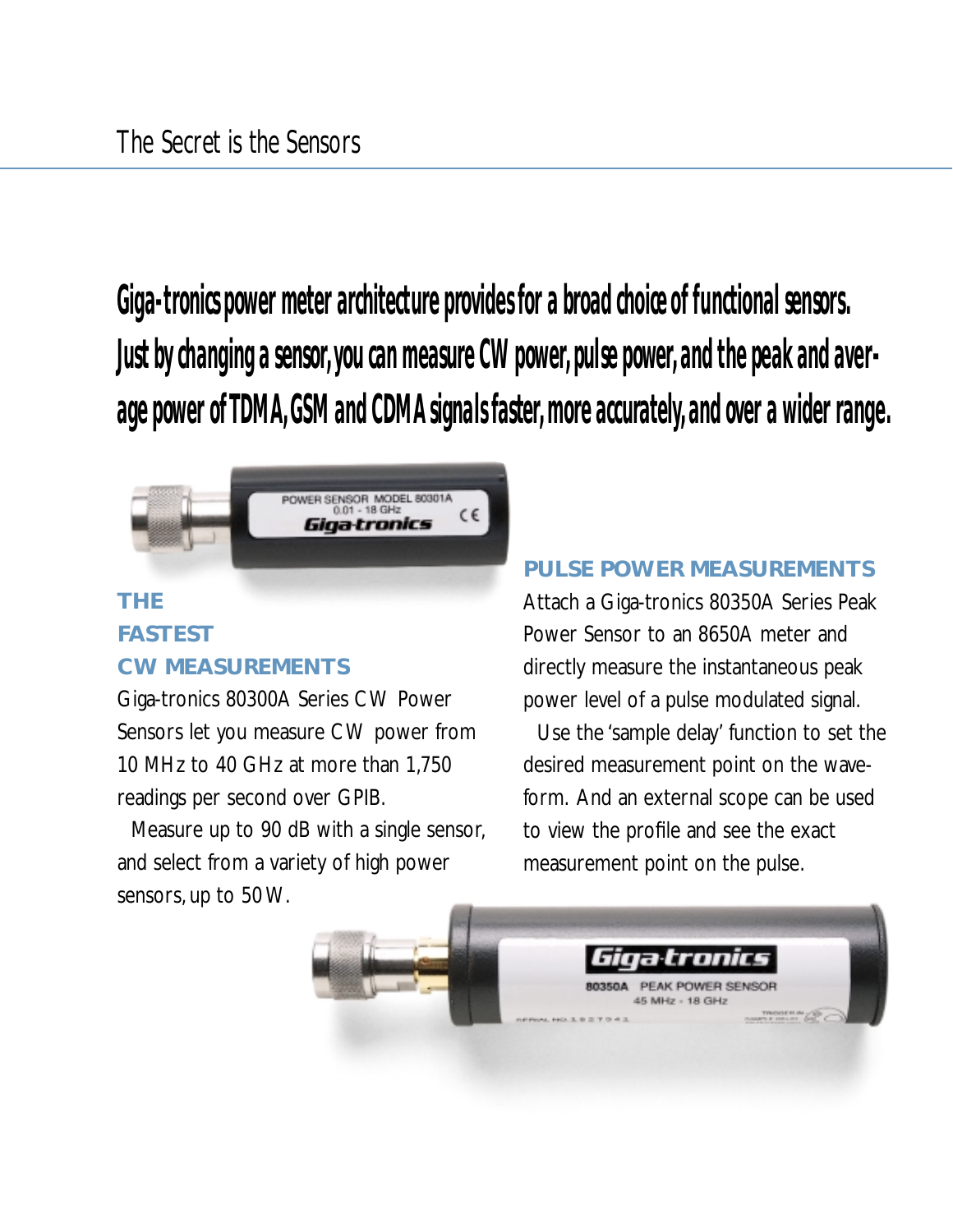**Giga-tronics power meter architecture provides for a broad choice of functional sensors. Just by changing a sensor, you can measure CW power, pulse power, and the peak and average power of TDMA, GSM and CDMA signals faster, more accurately, and over a wider range.**



## **THE FASTEST CW MEASUREMENTS**

Giga-tronics 80300A Series CW Power Sensors let you measure CW power from 10 MHz to 40 GHz at more than 1,750 readings per second over GPIB.

Measure up to 90 dB with a single sensor, and select from a variety of high power sensors, up to 50 W.

### **PULSE POWER MEASUREMENTS**

Attach a Giga-tronics 80350A Series Peak Power Sensor to an 8650A meter and directly measure the instantaneous peak power level of a pulse modulated signal.

Use the 'sample delay' function to set the desired measurement point on the waveform. And an external scope can be used to view the profile and see the exact measurement point on the pulse.

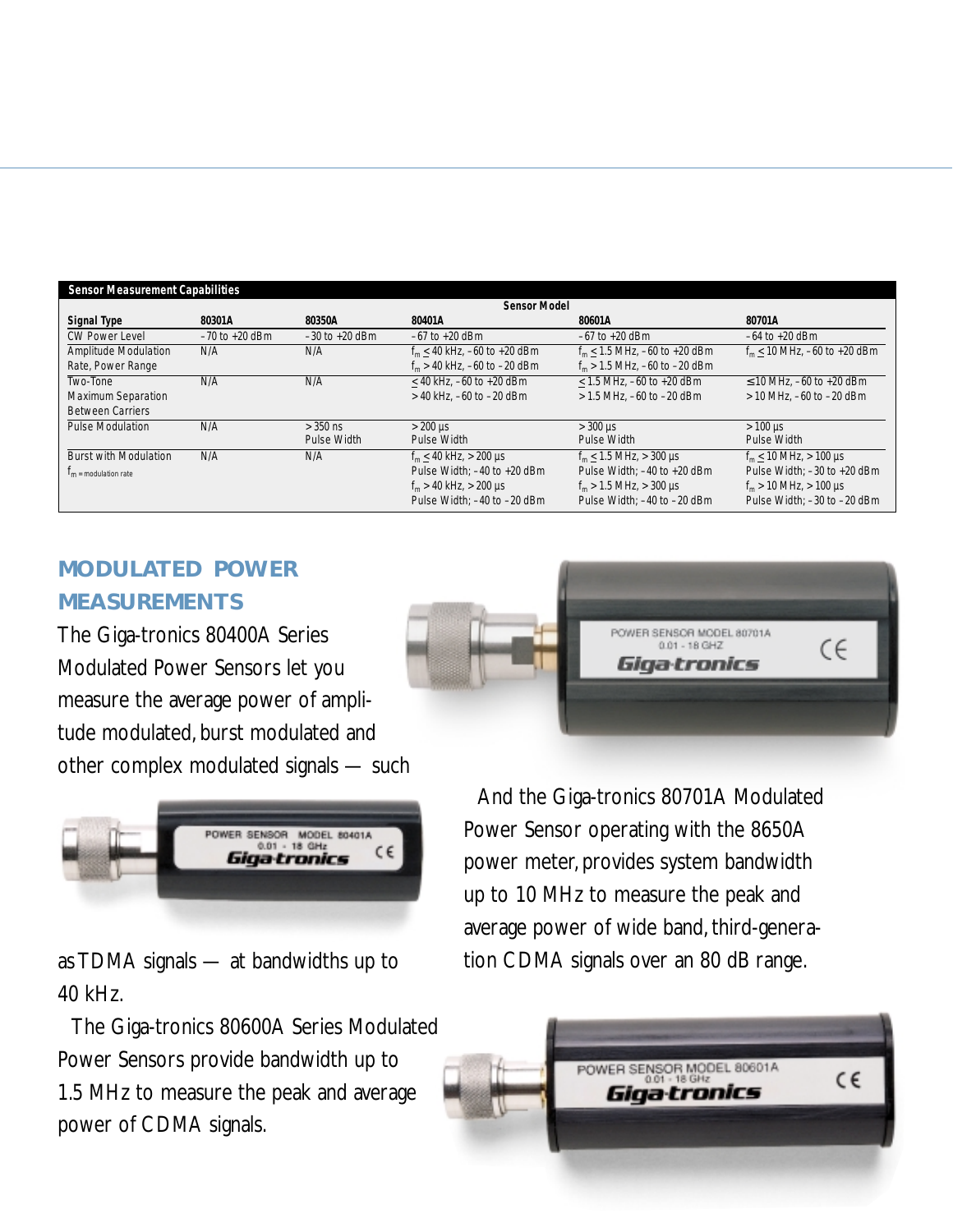|                                    |                    |                    | <b>Sensor Model</b>                |                                     |                                                      |
|------------------------------------|--------------------|--------------------|------------------------------------|-------------------------------------|------------------------------------------------------|
| Signal Type                        | 80301A             | 80350A             | 80401A                             | 80601A                              | 80701A                                               |
| <b>CW Power Level</b>              | $-70$ to $+20$ dBm | $-30$ to $+20$ dBm | $-67$ to $+20$ dBm                 | $-67$ to $+20$ dBm                  | $-64$ to $+20$ dBm                                   |
| Amplitude Modulation               | N/A                | N/A                | $f_m < 40$ kHz. $-60$ to $+20$ dBm | $f_m < 1.5$ MHz. $-60$ to $+20$ dBm | $f_m$ < 10 MHz, -60 to +20 dBm                       |
| Rate, Power Range                  |                    |                    | $f_m > 40$ kHz, $-60$ to $-20$ dBm | $f_m > 1.5$ MHz, $-60$ to $-20$ dBm |                                                      |
| Two-Tone                           | N/A                | N/A                | $<$ 40 kHz, $-60$ to $+20$ dBm     | $<$ 1.5 MHz, -60 to +20 dBm         | $\leq$ 10 MHz. -60 to +20 dBm                        |
| <b>Maximum Separation</b>          |                    |                    | $>$ 40 kHz. $-60$ to $-20$ dBm     | $> 1.5$ MHz, $-60$ to $-20$ dBm     | $>$ 10 MHz. $-60$ to $-20$ dBm                       |
| <b>Between Carriers</b>            |                    |                    |                                    |                                     |                                                      |
| <b>Pulse Modulation</b>            | N/A                | $>$ 350 ns         | $>200 \text{ }\mu\text{s}$         | $>$ 300 µs                          | $>100 \,\mathrm{\mu s}$                              |
|                                    |                    | Pulse Width        | Pulse Width                        | Pulse Width                         | Pulse Width                                          |
| <b>Burst with Modulation</b>       | N/A                | N/A                | $f_m \leq 40$ kHz, > 200 µs        | $f_m \leq 1.5$ MHz, > 300 µs        | $f_m \le 10 \text{ MHz}$ , > 100 µs                  |
| $\Gamma_{\rm m}$ = modulation rate |                    |                    | Pulse Width: $-40$ to $+20$ dBm    | Pulse Width: -40 to +20 dBm         | Pulse Width: $-30$ to $+20$ dBm                      |
|                                    |                    |                    | $f_m > 40$ kHz, $> 200$ µs         | $f_m > 1.5$ MHz, $> 300$ µs         | $f_m > 10 \text{ MHz}$ , $> 100 \text{ }\mu\text{s}$ |
|                                    |                    |                    | Pulse Width: -40 to -20 dBm        | Pulse Width: -40 to -20 dBm         | Pulse Width: -30 to -20 dBm                          |

## **MODULATED POWER MEASUREMENTS**

The Giga-tronics 80400A Series Modulated Power Sensors let you measure the average power of amplitude modulated, burst modulated and other complex modulated signals — such



as TDMA signals — at bandwidths up to 40 kHz.

The Giga-tronics 80600A Series Modulated Power Sensors provide bandwidth up to 1.5 MHz to measure the peak and average power of CDMA signals.



And the Giga-tronics 80701A Modulated Power Sensor operating with the 8650A power meter, provides system bandwidth up to 10 MHz to measure the peak and average power of wide band, third-generation CDMA signals over an 80 dB range.

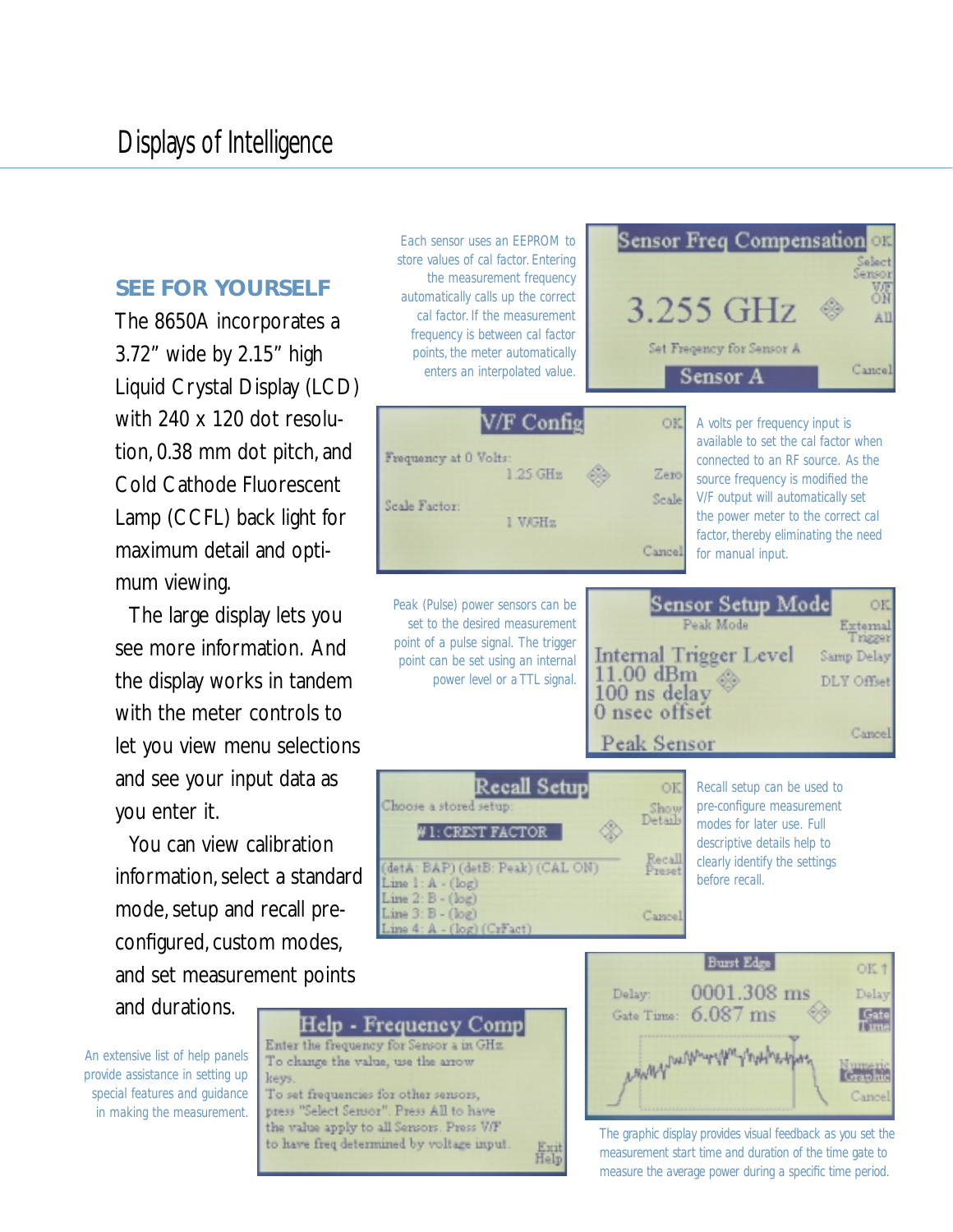### **SEE FOR YOURSELF**

The 8650A incorporates a 3.72" wide by 2.15" high Liquid Crystal Display (LCD) with 240 x 120 dot resolution, 0.38 mm dot pitch, and Cold Cathode Fluorescent Lamp (CCFL) back light for maximum detail and optimum viewing.

The large display lets you see more information. And the display works in tandem with the meter controls to let you view menu selections and see your input data as you enter it.

You can view calibration information, select a standard mode, setup and recall preconfigured, custom modes, and set measurement points and durations.

*An extensive list of help panels provide assistance in setting up special features and guidance in making the measurement.*



*Each sensor uses an EEPROM to store values of cal factor. Entering the measurement frequency*





**Sensor Freq Compensation** 

*The graphic display provides visual feedback as you set the measurement start time and duration of the time gate to measure the average power during a specific time period.*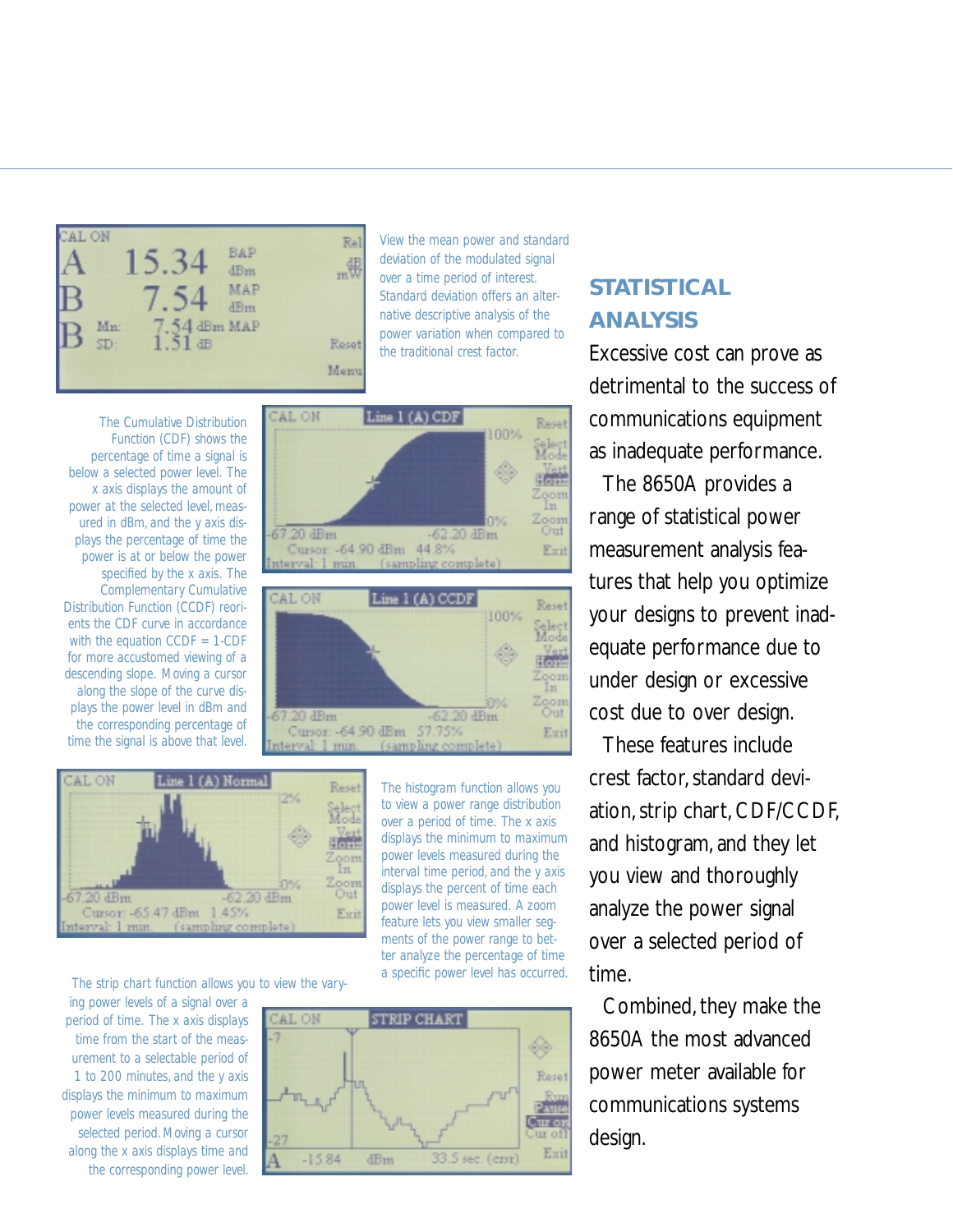

*View the mean power and standard deviation of the modulated signal over a time period of interest. Standard deviation offers an alternative descriptive analysis of the power variation when compared to the traditional crest factor.*

*The Cumulative Distribution Function (CDF) shows the percentage of time a signal is below a selected power level. The x axis displays the amount of power at the selected level, measured in dBm, and the y axis displays the percentage of time the power is at or below the power specified by the x axis. The Complementary Cumulative Distribution Function (CCDF) reorients the CDF curve in accordance with the equation CCDF = 1-CDF for more accustomed viewing of a descending slope. Moving a cursor along the slope of the curve displays the power level in dBm and the corresponding percentage of time the signal is above that level.*





*The histogram function allows you to view a power range distribution over a period of time. The x axis displays the minimum to maximum power levels measured during the interval time period, and the y axis displays the percent of time each power level is measured. A zoom feature lets you view smaller segments of the power range to better analyze the percentage of time*

*a specific power level has occurred. The strip chart function allows you to view the vary-*

*ing power levels of a signal over a period of time. The x axis displays time from the start of the measurement to a selectable period of 1 to 200 minutes, and the y axis displays the minimum to maximum power levels measured during the selected period. Moving a cursor along the x axis displays time and the corresponding power level.*



## **STATISTICAL ANALYSIS**

Excessive cost can prove as detrimental to the success of communications equipment as inadequate performance.

The 8650A provides a range of statistical power measurement analysis features that help you optimize your designs to prevent inadequate performance due to under design or excessive cost due to over design.

These features include crest factor, standard deviation, strip chart, CDF/CCDF, and histogram, and they let you view and thoroughly analyze the power signal over a selected period of time.

Combined, they make the 8650A the most advanced power meter available for communications systems design.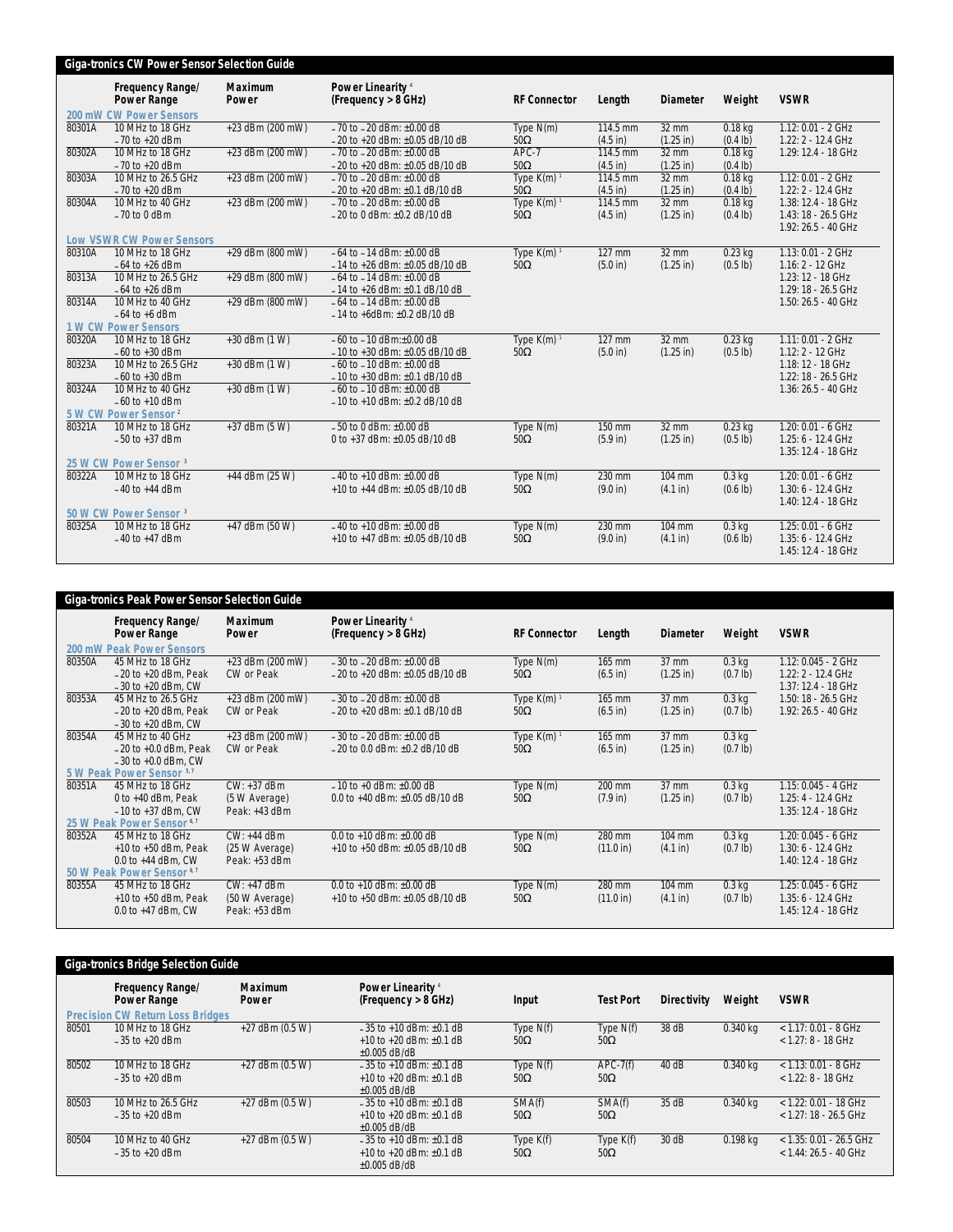|        | <b>Giga-tronics CW Power Sensor Selection Guide</b> |                         |                                                     |                          |                    |                     |                    |                      |
|--------|-----------------------------------------------------|-------------------------|-----------------------------------------------------|--------------------------|--------------------|---------------------|--------------------|----------------------|
|        | Frequency Range/<br><b>Power Range</b>              | <b>Maximum</b><br>Power | Power Linearity <sup>4</sup><br>(Frequency > 8 GHz) | <b>RF Connector</b>      | Length             | <b>Diameter</b>     | Weight             | <b>VSWR</b>          |
|        | 200 mW CW Power Sensors                             |                         |                                                     |                          |                    |                     |                    |                      |
| 80301A | 10 MHz to 18 GHz                                    | +23 dBm (200 mW)        | $-70$ to $-20$ dBm: $\pm 0.00$ dB                   | Type $N(m)$              | 114.5 mm           | $32$ mm             | $0.18$ kg          | 1.12: 0.01 - 2 GHz   |
|        | $-70$ to $+20$ dBm                                  |                         | $-20$ to +20 dBm: $\pm 0.05$ dB/10 dB               | $50\Omega$               | $(4.5$ in)         | $(1.25$ in)         | (0.4 lb)           | 1.22: 2 - 12.4 GHz   |
| 80302A | 10 MHz to 18 GHz                                    | +23 dBm (200 mW)        | $-70$ to $-20$ dBm: $\pm 0.00$ dB                   | APC-7                    | 114.5 mm           | 32 mm               | $0.18$ kg          | 1.29: 12.4 - 18 GHz  |
|        | $-70$ to $+20$ dBm                                  |                         | $-20$ to +20 dBm: $\pm 0.05$ dB/10 dB               | $50\Omega$               | (4.5 in)           | $(1.25$ in)         | $(0.4$ lb)         |                      |
| 80303A | 10 MHz to 26.5 GHz                                  | +23 dBm (200 mW)        | $-70$ to $-20$ dBm: $\pm 0.00$ dB                   | Type $K(m)$ <sup>1</sup> | 114.5 mm           | 32 mm               | $0.18$ kg          | 1.12: 0.01 - 2 GHz   |
|        | $-70$ to $+20$ dBm                                  |                         | $-20$ to +20 dBm: $\pm 0.1$ dB/10 dB                | $50\Omega$               | $(4.5$ in)         | $(1.25 \text{ in})$ | $(0.4$ lb)         | 1.22: 2 - 12.4 GHz   |
| 80304A | 10 MHz to 40 GHz                                    | +23 dBm (200 mW)        | $-70$ to $-20$ dBm: $\pm 0.00$ dB                   | Type $K(m)$ <sup>1</sup> | 114.5 mm           | $32 \, \text{mm}$   | $0.18$ kg          | 1.38: 12.4 - 18 GHz  |
|        | $-70$ to 0 dBm                                      |                         | $-20$ to 0 dBm: $\pm 0.2$ dB/10 dB                  | $50\Omega$               | $(4.5 \text{ in})$ | $(1.25 \text{ in})$ | (0.4 lb)           | 1.43: 18 - 26.5 GHz  |
|        |                                                     |                         |                                                     |                          |                    |                     |                    | 1.92: 26.5 - 40 GHz  |
|        | <b>Low VSWR CW Power Sensors</b>                    |                         |                                                     |                          |                    |                     |                    |                      |
| 80310A | 10 MHz to 18 GHz                                    | +29 dBm (800 mW)        | $-64$ to $-14$ dBm: $\pm 0.00$ dB                   | Type $K(m)$ <sup>1</sup> | 127 mm             | $32$ mm             | $0.23$ kg          | 1.13: 0.01 - 2 GHz   |
|        | $-64$ to $+26$ dBm                                  |                         | $-14$ to +26 dBm: $\pm 0.05$ dB/10 dB               | $50\Omega$               | (5.0 in)           | $(1.25 \text{ in})$ | $(0.5 \text{ lb})$ | 1.16: 2 - 12 GHz     |
| 80313A | 10 MHz to 26.5 GHz                                  | +29 dBm (800 mW)        | $-64$ to $-14$ dBm: $\pm 0.00$ dB                   |                          |                    |                     |                    | 1.23: 12 - 18 GHz    |
|        | $-64$ to $+26$ dBm                                  |                         | $-14$ to +26 dBm: $\pm 0.1$ dB/10 dB                |                          |                    |                     |                    | 1.29: 18 - 26.5 GHz  |
| 80314A | 10 MHz to 40 GHz                                    | +29 dBm (800 mW)        | $-64$ to $-14$ dBm: $\pm 0.00$ dB                   |                          |                    |                     |                    | 1.50: 26.5 - 40 GHz  |
|        | $-64$ to $+6$ dBm                                   |                         | $-14$ to +6dBm: $\pm 0.2$ dB/10 dB                  |                          |                    |                     |                    |                      |
|        | <b>1 W CW Power Sensors</b>                         |                         |                                                     |                          |                    |                     |                    |                      |
| 80320A | 10 MHz to 18 GHz                                    | +30 dBm (1 W)           | $-60$ to $-10$ dBm: $\pm 0.00$ dB                   | Type $K(m)$ <sup>1</sup> | 127 mm             | 32 mm               | $0.23$ kg          | $1.11: 0.01 - 2$ GHz |
|        | $-60$ to $+30$ dBm                                  |                         | $-10$ to +30 dBm: $\pm 0.05$ dB/10 dB               | $50\Omega$               | (5.0 in)           | $(1.25 \text{ in})$ | $(0.5 \text{ lb})$ | 1.12: 2 - 12 GHz     |
| 80323A | 10 MHz to 26.5 GHz                                  | +30 dBm (1 W)           | $-60$ to $-10$ dBm: $\pm 0.00$ dB                   |                          |                    |                     |                    | 1.18: 12 - 18 GHz    |
|        | $-60$ to $+30$ dBm                                  |                         | $-10$ to +30 dBm: $\pm 0.1$ dB/10 dB                |                          |                    |                     |                    | 1.22: 18 - 26.5 GHz  |
| 80324A | 10 MHz to 40 GHz                                    | +30 dBm (1 W)           | $-60$ to $-10$ dBm: $\pm 0.00$ dB                   |                          |                    |                     |                    | 1.36: 26.5 - 40 GHz  |
|        | $-60$ to $+10$ dBm                                  |                         | $-10$ to +10 dBm: $\pm 0.2$ dB/10 dB                |                          |                    |                     |                    |                      |
|        | 5 W CW Power Sensor <sup>2</sup>                    |                         |                                                     |                          |                    |                     |                    |                      |
| 80321A | 10 MHz to 18 GHz                                    | +37 dBm (5 W)           | $-50$ to 0 dBm: $\pm 0.00$ dB                       | Type $N(m)$              | 150 mm             | 32 mm               | $0.23$ kg          | 1.20: 0.01 - 6 GHz   |
|        | $-50$ to $+37$ dBm                                  |                         | 0 to +37 dBm: ±0.05 dB/10 dB                        | $50\Omega$               | (5.9 in)           | $(1.25 \text{ in})$ | $(0.5 \text{ lb})$ | 1.25: 6 - 12.4 GHz   |
|        | 25 W CW Power Sensor <sup>3</sup>                   |                         |                                                     |                          |                    |                     |                    | 1.35: 12.4 - 18 GHz  |
| 80322A | 10 MHz to 18 GHz                                    | +44 dBm (25 W)          | $-40$ to $+10$ dBm: $+0.00$ dB                      |                          | 230 mm             | 104 mm              | $0.3$ kg           | 1.20: 0.01 - 6 GHz   |
|        |                                                     |                         | +10 to +44 dBm: $\pm$ 0.05 dB/10 dB                 | Type N(m)<br>$50\Omega$  | (9.0 in)           |                     |                    | 1.30: 6 - 12.4 GHz   |
|        | $-40$ to $+44$ dBm                                  |                         |                                                     |                          |                    | (4.1 in)            | (0.6 1b)           | 1.40: 12.4 - 18 GHz  |
|        | 50 W CW Power Sensor <sup>3</sup>                   |                         |                                                     |                          |                    |                     |                    |                      |
| 80325A | 10 MHz to 18 GHz                                    | +47 dBm (50 W)          | $-40$ to +10 dBm: $\pm 0.00$ dB                     | Type $N(m)$              | 230 mm             | 104 mm              | $0.3$ kg           | 1.25: 0.01 - 6 GHz   |
|        | $-40$ to $+47$ dBm                                  |                         | +10 to +47 dBm: ±0.05 dB/10 dB                      | $50\Omega$               | (9.0 in)           | (4.1 in)            | $(0.6 \text{ lb})$ | 1.35: 6 - 12.4 GHz   |
|        |                                                     |                         |                                                     |                          |                    |                     |                    |                      |
|        |                                                     |                         |                                                     |                          |                    |                     |                    | 1.45: 12.4 - 18 GHz  |

|        | <b>Giga-tronics Peak Power Sensor Selection Guide</b>     |                         |                                                     |                           |                     |                     |                                |                     |
|--------|-----------------------------------------------------------|-------------------------|-----------------------------------------------------|---------------------------|---------------------|---------------------|--------------------------------|---------------------|
|        | Frequency Range/<br><b>Power Range</b>                    | <b>Maximum</b><br>Power | Power Linearity <sup>4</sup><br>(Frequency > 8 GHz) | <b>RF Connector</b>       | Length              | Diameter            | Weight                         | <b>VSWR</b>         |
|        | 200 mW Peak Power Sensors                                 |                         |                                                     |                           |                     |                     |                                |                     |
| 80350A | 45 MHz to 18 GHz                                          | $+23$ dBm (200 mW)      | $-30$ to $-20$ dBm: $\pm 0.00$ dB                   | Type $N(m)$               | 165 mm              | $37 \text{ mm}$     | $0.3$ kg                       | 1.12: 0.045 - 2 GHz |
|        | $-20$ to $+20$ dBm, Peak                                  | CW or Peak              | $-20$ to +20 dBm: $\pm 0.05$ dB/10 dB               | $50\Omega$                | $(6.5 \text{ in})$  | $(1.25 \text{ in})$ | $(0.7 \text{ lb})$             | 1.22: 2 - 12.4 GHz  |
|        | $-30$ to $+20$ dBm, CW                                    |                         |                                                     |                           |                     |                     |                                | 1.37: 12.4 - 18 GHz |
| 80353A | 45 MHz to 26.5 GHz                                        | $+23$ dBm (200 mW)      | $-30$ to $-20$ dBm: $+0.00$ dB                      | Type $K(m)$ <sup>1</sup>  | $165$ mm            | $37 \text{ mm}$     | $0.3$ kg                       | 1.50: 18 - 26.5 GHz |
|        | $-20$ to $+20$ dBm, Peak<br>$-30$ to $+20$ dBm. CW        | CW or Peak              | $-20$ to $+20$ dBm: $\pm 0.1$ dB/10 dB              | $50\Omega$                | $(6.5 \text{ in})$  | $(1.25 \text{ in})$ | $(0.7 \text{ lb})$             | 1.92: 26.5 - 40 GHz |
| 80354A | 45 MHz to 40 GHz                                          | $+23$ dBm (200 mW)      | $-30$ to $-20$ dBm: $\pm 0.00$ dB                   | Type $K(m)$ <sup>1</sup>  | $165$ mm            | $37 \text{ mm}$     | $0.3$ kg                       |                     |
|        | $-20$ to $+0.0$ dBm, Peak                                 | CW or Peak              | $-20$ to 0.0 dBm: $\pm$ 0.2 dB/10 dB                | $50\Omega$                | $(6.5 \text{ in})$  | $(1.25 \text{ in})$ | $(0.7 \text{ lb})$             |                     |
|        | $-30$ to $+0.0$ dBm, CW                                   |                         |                                                     |                           |                     |                     |                                |                     |
|        | 5 W Peak Power Sensor 5.7                                 |                         |                                                     |                           |                     |                     |                                |                     |
| 80351A | 45 MHz to 18 GHz                                          | CW: +37 dBm             | $-10$ to +0 dBm: $\pm 0.00$ dB                      | Type $N(m)$               | 200 mm              | $37 \text{ mm}$     | $0.3$ kg                       | 1.15: 0.045 - 4 GHz |
|        | 0 to +40 dBm, Peak                                        | (5 W Average)           | 0.0 to +40 dBm: $\pm$ 0.05 dB/10 dB                 | $50\Omega$                | $(7.9 \text{ in})$  | $(1.25 \text{ in})$ | $(0.7 \text{ lb})$             | 1.25: 4 - 12.4 GHz  |
|        | $-10$ to $+37$ dBm, CW                                    | Peak: +43 dBm           |                                                     |                           |                     |                     |                                | 1.35: 12.4 - 18 GHz |
|        | 25 W Peak Power Sensor <sup>6,7</sup>                     |                         |                                                     |                           |                     |                     |                                |                     |
| 80352A | 45 MHz to 18 GHz                                          | CW: +44 dBm             | $0.0$ to $+10$ dBm: $+0.00$ dB                      | Type $N(m)$               | 280 mm              | 104 mm              | $0.3$ kg                       | 1.20: 0.045 - 6 GHz |
|        | $+10$ to $+50$ dBm, Peak                                  | (25 W Average)          | $+10$ to $+50$ dBm: $+0.05$ dB/10 dB                | $50\Omega$                | $(11.0 \text{ in})$ | (4.1 in)            | $(0.7 \text{ lb})$             | 1.30: 6 - 12.4 GHz  |
|        | 0.0 to $+44$ dBm, CW                                      | Peak: +53 dBm           |                                                     |                           |                     |                     |                                | 1.40: 12.4 - 18 GHz |
| 80355A | 50 W Peak Power Sensor <sup>6,7</sup><br>45 MHz to 18 GHz | CW: +47 dBm             | 0.0 to +10 dBm: $\pm$ 0.00 dB                       |                           | 280 mm              | 104 mm              |                                | 1.25: 0.045 - 6 GHz |
|        | $+10$ to $+50$ dBm, Peak                                  | (50 W Average)          | +10 to +50 dBm: $\pm$ 0.05 dB/10 dB                 | Type $N(m)$<br>$50\Omega$ | $(11.0 \text{ in})$ | (4.1 in)            | $0.3$ kg<br>$(0.7 \text{ lb})$ | 1.35: 6 - 12.4 GHz  |
|        | $0.0$ to $+47$ dBm. CW                                    | Peak: +53 dBm           |                                                     |                           |                     |                     |                                | 1.45: 12.4 - 18 GHz |
|        |                                                           |                         |                                                     |                           |                     |                     |                                |                     |

|       | <b>Giga-tronics Bridge Selection Guide</b>                                               |                         |                                                                                     |                           |                           |                    |            |                                                      |
|-------|------------------------------------------------------------------------------------------|-------------------------|-------------------------------------------------------------------------------------|---------------------------|---------------------------|--------------------|------------|------------------------------------------------------|
|       | <b>Frequency Range/</b><br><b>Power Range</b><br><b>Precision CW Return Loss Bridges</b> | <b>Maximum</b><br>Power | Power Linearity <sup>4</sup><br>(Frequency > 8 GHz)                                 | Input                     | <b>Test Port</b>          | <b>Directivity</b> | Weight     | <b>VSWR</b>                                          |
| 80501 | 10 MHz to 18 GHz<br>$-35$ to $+20$ dBm                                                   | $+27$ dBm (0.5 W)       | $-35$ to $+10$ dBm: $+0.1$ dB<br>$+10$ to $+20$ dBm: $+0.1$ dB<br>$+0.005$ dB/dB    | Type $N(f)$<br>$50\Omega$ | Type $N(f)$<br>$50\Omega$ | 38 dB              | $0.340$ ka | $<$ 1.17: 0.01 - 8 GHz<br>$< 1.27: 8 - 18$ GHz       |
| 80502 | 10 MHz to 18 GHz<br>$-35$ to $+20$ dBm                                                   | $+27$ dBm (0.5 W)       | $-35$ to $+10$ dBm: $+0.1$ dB<br>$+10$ to $+20$ dBm: $+0.1$ dB<br>$+0.005$ dB/dB    | Type $N(f)$<br>$50\Omega$ | $APC-7(f)$<br>$50\Omega$  | 40 dB              | $0.340$ ka | $<$ 1.13: 0.01 - 8 GHz<br>$< 1.22: 8 - 18$ GHz       |
| 80503 | 10 MHz to 26.5 GHz<br>$-35$ to $+20$ dBm                                                 | $+27$ dBm (0.5 W)       | $-35$ to $+10$ dBm: $+0.1$ dB<br>$+10$ to $+20$ dBm: $+0.1$ dB<br>$\pm 0.005$ dB/dB | SMA(f)<br>$50\Omega$      | SMA(f)<br>$50\Omega$      | 35 dB              | $0.340$ ka | $<$ 1.22: 0.01 - 18 GHz<br>$<$ 1.27: 18 - 26.5 GHz   |
| 80504 | 10 MHz to 40 GHz<br>$-35$ to $+20$ dBm                                                   | $+27$ dBm (0.5 W)       | $-35$ to +10 dBm: $\pm 0.1$ dB<br>$+10$ to $+20$ dBm: $+0.1$ dB<br>$+0.005$ dB/dB   | Type K(f)<br>$50\Omega$   | Type K(f)<br>$50\Omega$   | 30 dB              | 0.198 kg   | $<$ 1.35: 0.01 - 26.5 GHz<br>$<$ 1.44: 26.5 - 40 GHz |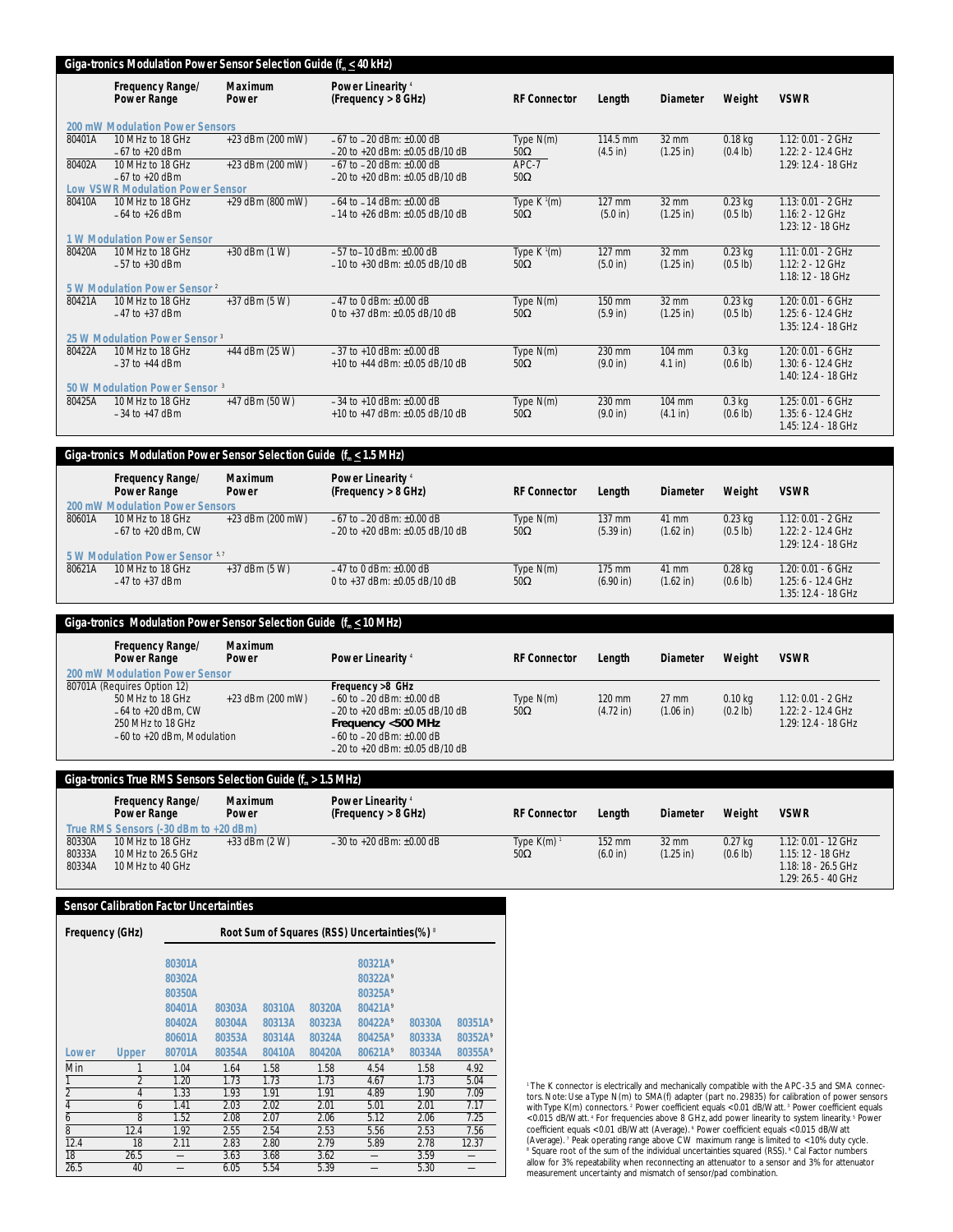#### **Giga-tronics Modulation Power Sensor Selection Guide (f. < 40 kHz)**

|        | Frequency Range/<br><b>Power Range</b>    | <b>Maximum</b><br>Power | Power Linearity <sup>4</sup><br>(Frequency > 8 GHz) | <b>RF Connector</b>                  | Length             | <b>Diameter</b>     | Weight             | <b>VSWR</b>                   |
|--------|-------------------------------------------|-------------------------|-----------------------------------------------------|--------------------------------------|--------------------|---------------------|--------------------|-------------------------------|
|        | 200 mW Modulation Power Sensors           |                         |                                                     |                                      |                    |                     |                    |                               |
| 80401A | 10 MHz to 18 GHz                          | +23 dBm (200 mW)        | $-67$ to $-20$ dBm: $+0.00$ dB                      | Type $N(m)$                          | 114.5 mm           | $32 \text{ mm}$     | $0.18$ kg          | 1.12: 0.01 - 2 GHz            |
|        | $-67$ to $+20$ dBm                        |                         | $-20$ to +20 dBm: $\pm 0.05$ dB/10 dB               | $50\Omega$                           | $(4.5 \text{ in})$ | $(1.25 \text{ in})$ | $(0.4 \text{ lb})$ | $1.22: 2 - 12.4$ GHz          |
| 80402A | 10 MHz to 18 GHz                          | +23 dBm (200 mW)        | $-67$ to $-20$ dBm: $\pm 0.00$ dB                   | APC-7                                |                    |                     |                    | 1.29: 12.4 - 18 GHz           |
|        | $-67$ to $+20$ dBm                        |                         | $-20$ to $+20$ dBm: $+0.05$ dB/10 dB                | $50\Omega$                           |                    |                     |                    |                               |
|        | <b>Low VSWR Modulation Power Sensor</b>   |                         |                                                     |                                      |                    |                     |                    |                               |
| 80410A | 10 MHz to 18 GHz                          | +29 dBm (800 mW)        | $-64$ to $-14$ dBm: $+0.00$ dB                      | Type $K^{1}(m)$                      | 127 mm             | $32 \, \text{mm}$   | $0.23$ kg          | 1.13: 0.01 - 2 GHz            |
|        | $-64$ to $+26$ dBm                        |                         | $-14$ to $+26$ dBm: $+0.05$ dB/10 dB                | $50\Omega$                           | (5.0 in)           | $(1.25$ in)         | $(0.5 \text{ lb})$ | 1.16: 2 - 12 GHz              |
|        |                                           |                         |                                                     |                                      |                    |                     |                    | $1.23: 12 - 18$ GHz           |
|        | <b>1 W Modulation Power Sensor</b>        |                         |                                                     |                                      |                    |                     |                    |                               |
| 80420A | 10 MHz to 18 GHz                          | $+30$ dBm $(1 W)$       | $-57$ to $-10$ dBm: $+0.00$ dB                      | Type $\overline{K}$ <sup>1</sup> (m) | 127 mm             | $32 \text{ mm}$     | $0.23$ kg          | 1.11: 0.01 - 2 GHz            |
|        | $-57$ to $+30$ dBm                        |                         | $-10$ to $+30$ dBm: $+0.05$ dB/10 dB                | $50\Omega$                           | (5.0 in)           | $(1.25 \text{ in})$ | $(0.5 \text{ lb})$ | 1.12: 2 - 12 GHz              |
|        |                                           |                         |                                                     |                                      |                    |                     |                    | $1.18:12 - 18$ GHz            |
|        | 5 W Modulation Power Sensor <sup>2</sup>  |                         |                                                     |                                      |                    |                     |                    |                               |
| 80421A | 10 MHz to 18 GHz                          | $+37$ dBm (5 W)         | $-47$ to 0 dBm: $+0.00$ dB                          | Type $N(m)$                          | 150 mm             | $32 \text{ mm}$     | $0.23$ kg          | 1.20: 0.01 - 6 GHz            |
|        | $-47$ to $+37$ dBm                        |                         | 0 to +37 dBm: $\pm$ 0.05 dB/10 dB                   | $50\Omega$                           | (5.9 in)           | $(1.25$ in)         | $(0.5 \text{ lb})$ | 1.25: 6 - 12.4 GHz            |
|        |                                           |                         |                                                     |                                      |                    |                     |                    | 1.35: 12.4 - 18 GHz           |
|        | 25 W Modulation Power Sensor <sup>3</sup> |                         |                                                     |                                      |                    |                     |                    |                               |
| 80422A | 10 MHz to 18 GHz                          | $+44$ dBm (25 W)        | $-37$ to $+10$ dBm: $+0.00$ dB                      | Type $N(m)$                          | 230 mm             | 104 mm              | 0.3 <sub>kq</sub>  | 1.20: 0.01 - 6 GHz            |
|        | $-37$ to $+44$ dBm                        |                         | $+10$ to $+44$ dBm: $+0.05$ dB/10 dB                | $50\Omega$                           | (9.0 in)           | $4.1$ in)           | $(0.6 \text{ lb})$ | 1.30: 6 - 12.4 GHz            |
|        |                                           |                         |                                                     |                                      |                    |                     |                    | 1.40: 12.4 - 18 GHz           |
|        | 50 W Modulation Power Sensor <sup>3</sup> |                         |                                                     |                                      |                    |                     |                    |                               |
| 80425A | 10 MHz to 18 GHz                          | $+47$ dBm (50 W)        | $-34$ to $+10$ dBm: $+0.00$ dB                      | Type $N(m)$                          | 230 mm             | $104 \text{ mm}$    | $0.3$ kg           | 1.25: 0.01 - 6 GHz            |
|        | $-34$ to $+47$ dBm                        |                         | $+10$ to $+47$ dBm: $+0.05$ dB/10 dB                | $50\Omega$                           | (9.0 in)           | (4.1 in)            | $(0.6 \text{ lb})$ | 1.35: 6 - 12.4 GHz            |
|        |                                           |                         |                                                     |                                      |                    |                     |                    | $1.45: 12.4 - 18 \text{ GHz}$ |

|        | Giga-tronics Modulation Power Sensor Selection Guide $(f_m < 1.5 \text{ MHz})$ |                         |                                                            |                     |             |                     |                   |                              |
|--------|--------------------------------------------------------------------------------|-------------------------|------------------------------------------------------------|---------------------|-------------|---------------------|-------------------|------------------------------|
|        | Frequency Range/<br><b>Power Range</b>                                         | <b>Maximum</b><br>Power | <b>Power Linearity</b> <sup>4</sup><br>(Frequency > 8 GHz) | <b>RF Connector</b> | Lenath      | <b>Diameter</b>     | Weight            | <b>VSWR</b>                  |
|        | 200 mW Modulation Power Sensors                                                |                         |                                                            |                     |             |                     |                   |                              |
| 80601A | 10 MHz to 18 GHz                                                               | $+23$ dBm (200 mW)      | $-67$ to $-20$ dBm: $\pm 0.00$ dB                          | Type $N(m)$         | 137 mm      | 41 mm               | $0.23$ kg         | $1.12: 0.01 - 2 \text{ GHz}$ |
|        | $-67$ to $+20$ dBm. CW                                                         |                         | $-20$ to +20 dBm: $\pm 0.05$ dB/10 dB                      | $50\Omega$          | $(5.39)$ in | $(1.62 \text{ in})$ | $(0.5 \, lb)$     | 1.22: 2 - 12.4 GHz           |
|        |                                                                                |                         |                                                            |                     |             |                     |                   | 1.29: 12.4 - 18 GHz          |
|        | 5 W Modulation Power Sensor <sup>5,7</sup>                                     |                         |                                                            |                     |             |                     |                   |                              |
| 80621A | 10 MHz to 18 GHz                                                               | $+37$ dBm (5 W)         | $-47$ to 0 dBm: $+0.00$ dB                                 | Type $N(m)$         | 175 mm      | $41 \text{ mm}$     | 0.28 <sub>k</sub> | 1.20: 0.01 - 6 GHz           |
|        | $-47$ to $+37$ dBm                                                             |                         | 0 to +37 dBm: $\pm$ 0.05 dB/10 dB                          | $50\Omega$          | $(6.90)$ in | $(1.62 \text{ in})$ | (0.6 1b)          | 1.25: 6 - 12.4 GHz           |
|        |                                                                                |                         |                                                            |                     |             |                     |                   | 1.35: 12.4 - 18 GHz          |

### **Frequency Range/ Maximum** Power Linearity **4 RF Connector** Length Diameter Weight VSWR **200 mW Modulation Power Sensor** 80701A (Requires Option 12) **Frequency >8 GHz** 50 MHz to 18 GHz +23 dBm (200 mW) –60 to –20 dBm: ±0.00 dB Type N(m) 120 mm 27 mm 0.10 kg 1.12: 0.01 - 2 GHz –64 to +20 dBm, CW –20 to +20 dBm: ±0.05 dB/10 dB 50Ω (4.72 in) (1.06 in) (0.2 lb) 1.22: 2 - 12.4 GHz 250 MHz to 18 GHz 129: 12.4 - 18 GHz **Frequency <500 MHz** 1.29: 12.4 - 18 GHz 1.29: 12.4 - 18 GHz 1.29: 12.4 - 18 GHz 1.29: 12.4 - 18 GHz 1.29: 12.4 - 18 GHz 1.29: 12.4 - 18 GHz 1.29: 12.4 - 18 GHz 1.29: 12.4 - 18 GHz 1.2  $-20$  to  $+20$  dBm:  $\pm 0.05$  dB/10 dB Giga-tronics Modulation Power Sensor Selection Guide ( $f_m \le 10$  MHz)

| Giga-tronics True RMS Sensors Selection Guide $(f_{\infty} > 1.5 \text{ MHz})$ |                                        |                         |                                                     |                          |                  |                 |                    |                     |
|--------------------------------------------------------------------------------|----------------------------------------|-------------------------|-----------------------------------------------------|--------------------------|------------------|-----------------|--------------------|---------------------|
|                                                                                | Frequency Range/<br><b>Power Range</b> | <b>Maximum</b><br>Power | Power Linearity <sup>4</sup><br>(Frequency > 8 GHz) | <b>RF Connector</b>      | Lenath           | <b>Diameter</b> | Weight             | <b>VSWR</b>         |
|                                                                                | True RMS Sensors (-30 dBm to +20 dBm)  |                         |                                                     |                          |                  |                 |                    |                     |
| 80330A                                                                         | 10 MHz to 18 GHz                       | $+33$ dBm (2 W)         | $-30$ to +20 dBm: $\pm 0.00$ dB                     | Type $K(m)$ <sup>1</sup> | $152 \text{ mm}$ | $32 \text{ mm}$ | $0.27$ kg          | 1.12: 0.01 - 12 GHz |
| 80333A                                                                         | 10 MHz to 26.5 GHz                     |                         |                                                     | $50\Omega$               | (6.0 in)         | $(1.25$ in)     | $(0.6 \text{ lb})$ | 1.15: 12 - 18 GHz   |
| 80334A                                                                         | 10 MHz to 40 GHz                       |                         |                                                     |                          |                  |                 |                    | 1.18: 18 - 26.5 GHz |
|                                                                                |                                        |                         |                                                     |                          |                  |                 |                    | 1.29: 26.5 - 40 GHz |

### **Sensor Calibration Factor Uncertainties**

| Frequency (GHz) |                |        |        |        |        | Root Sum of Squares (RSS) Uncertainties (%) 8 |        |         |
|-----------------|----------------|--------|--------|--------|--------|-----------------------------------------------|--------|---------|
|                 |                | 80301A |        |        |        | 80321A <sup>9</sup>                           |        |         |
|                 |                | 80302A |        |        |        | 80322A <sup>9</sup>                           |        |         |
|                 |                | 80350A |        |        |        | 80325A <sup>9</sup>                           |        |         |
|                 |                | 80401A | 80303A | 80310A | 80320A | 80421A <sup>9</sup>                           |        |         |
|                 |                | 80402A | 80304A | 80313A | 80323A | 80422A°                                       | 80330A | 80351A  |
|                 |                | 80601A | 80353A | 80314A | 80324A | 80425A°                                       | 80333A | 80352A° |
| Lower           | <b>Upper</b>   | 80701A | 80354A | 80410A | 80420A | 80621A <sup>9</sup>                           | 80334A | 80355A  |
| Min             |                | 1.04   | 1.64   | 1.58   | 1.58   | 4.54                                          | 1.58   | 4.92    |
|                 | $\overline{2}$ | 1.20   | 1.73   | 1.73   | 1.73   | 4.67                                          | 1.73   | 5.04    |
| $\overline{c}$  | 4              | 1.33   | 1.93   | 1.91   | 1.91   | 4.89                                          | 1.90   | 7.09    |
| $\overline{4}$  | 6              | 1.41   | 2.03   | 2.02   | 2.01   | 5.01                                          | 2.01   | 7.17    |
| $\overline{6}$  | 8              | 1.52   | 2.08   | 2.07   | 2.06   | 5.12                                          | 2.06   | 7.25    |
| 8               | 12.4           | 1.92   | 2.55   | 2.54   | 2.53   | 5.56                                          | 2.53   | 7.56    |
| 12.4            | 18             | 2.11   | 2.83   | 2.80   | 2.79   | 5.89                                          | 2.78   | 12.37   |
| 18              | 26.5           |        | 3.63   | 3.68   | 3.62   |                                               | 3.59   |         |
| 26.5            | 40             |        | 6.05   | 5.54   | 5.39   |                                               | 5.30   |         |

<sup>1</sup>The K connector is electrically and mechanically compatible with the APC-3.5 and SMA connectors. Note: Use a Type N(m) to SMA(f) adapter (part to. 29835) for calibration of power seconditions (with Type K(m) connectors.